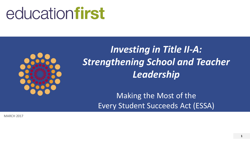# educationfirst



*Investing in Title II-A: Strengthening School and Teacher Leadership*

> Making the Most of the Every Student Succeeds Act (ESSA)

MARCH 2017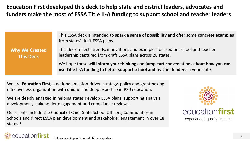**Education First developed this deck to help state and district leaders, advocates and funders make the most of ESSA Title II-A funding to support school and teacher leaders**

This ESSA deck is intended to **spark a sense of possibility** and offer some **concrete examples**  from states' draft ESSA plans. This deck reflects trends, innovations and examples focused on school and teacher leadership captured from draft ESSA plans across 28 states. **Why We Created This Deck**

> We hope these will **inform your thinking** and **jumpstart conversations about how you can use Title II-A funding to better support school and teacher leaders** in your state.

We are **Education First,** a national, mission-driven strategy, policy and grantmaking effectiveness organization with unique and deep expertise in P20 education.

We are deeply engaged in helping states develop ESSA plans, supporting analysis, development, stakeholder engagement and compliance reviews.

Our clients include the Council of Chief State School Officers, Communities in Schools and direct ESSA plan development and stakeholder engagement in over 18 states.\*



educationfirst

experience | quality | results

### education**firs**t

\* Please see Appendix for additional expertise.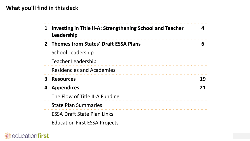#### **What you'll find in this deck**

| $\mathbf 1$  | Investing in Title II-A: Strengthening School and Teacher<br>Leadership |    |
|--------------|-------------------------------------------------------------------------|----|
|              | 2 Themes from States' Draft ESSA Plans                                  | 6  |
|              | <b>School Leadership</b>                                                |    |
|              | <b>Teacher Leadership</b>                                               |    |
|              | <b>Residencies and Academies</b>                                        |    |
| $\mathbf{3}$ | <b>Resources</b>                                                        | 19 |
| 4            | <b>Appendices</b>                                                       | 21 |
|              | The Flow of Title II-A Funding                                          |    |
|              | <b>State Plan Summaries</b>                                             |    |
|              | <b>ESSA Draft State Plan Links</b>                                      |    |
|              | <b>Education First ESSA Projects</b>                                    |    |

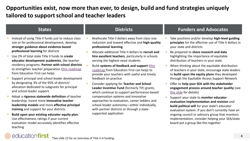#### **Opportunities exist, now more than ever, to design, build and fund strategies uniquely tailored to support school and teacher leaders**

- Instead of using Title II funds just to reduce class size or for professional development, develop **stronger guidance about evidence-based professional learning** for districts
- Use 2% of total state Title II funds to **create educator development academies**, like teacher residency programs. **Partner with school districts**  to strengthen teacher preparation [\(this roadmap](http://education-first.com/library/publication/ensuring-high-quality-teacher-talent/)  from Education First can help)
- Support principal and school leader development by designating 3% of the 95% of districts' allocation dedicated to subgrants for principal and school leader support
- Adopt a **rigorous statewide definition** of teacher leadership, incent more **innovative teacher leadership models** and more **effective principal training** and support for your districts
- **Build upon your existing educator equity plan**. Use effectiveness ratings if your current evaluation model accurately identifies effective teaching

educationfirst

- Reallocate Title II dollars away from class-size reduction and toward effective and **high-quality professional learning**
- Allocate additional Title II dollars to **recruit and hire excellent teachers**, particularly in schools serving the highest-need students
- Build **systems of feedback and support** (this [roadmap from Education First can help\) to](http://education-first.com/library/publication/giving-teachers-the-feedback-and-support-they-deserve-five-essential-practices/)  provide your teachers with useful and timely feedback on practice
- Consider applying for **Teacher and School Leader Incentive Fund** (formerly TIF) grants, which continue to support performance-based compensation systems and innovative approaches to evaluation, career ladders and school-leader autonomy—either individually, with partner districts or through a statesupported application

#### **States Districts Funders and Advocates**

- Take positions and/or develop **high-level guiding principles** for the effective use of Title II dollars in your state and districts
- Be prepared to **share research and data**  highlighting the importance of equitable distribution of teachers in your state
- When thinking about the equitable distribution of teachers in your state, encourage state leaders to **build upon the equity plans** they developed through the Equitable Access Support Network
- Offer to **help your SEA with the stakeholder engagement process around teacher quality** (see [this slide](#page-8-0) for details)
- Support your state to **monitor educator evaluation implementation and revision** and **build political will** for your state's educator evaluation system. If you don't currently have an ongoing council or advisory group that monitors implementation, consider helping your SEA/state board put a group like this together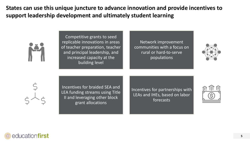**States can use this unique juncture to advance innovation and provide incentives to support leadership development and ultimately student learning** 

Competitive grants to seed replicable innovations in areas of teacher preparation, teacher and principal leadership, and increased capacity at the building level

Network improvement communities with a focus on rural or hard-to-serve populations



Incentives for braided SEA and LEA funding streams using Title II and leveraging other block grant allocations

Incentives for partnerships with LEAs and IHEs, based on labor forecasts



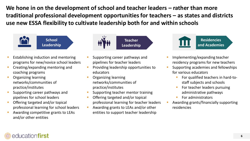**We hone in on the development of school and teacher leaders – rather than more traditional professional development opportunities for teachers – as states and districts use new ESSA flexibility to cultivate leadership both for and within schools** 



- Establishing induction and mentoring programs for new/novice school leaders
- Creating/expanding mentoring and coaching programs
- Organizing learning networks/communities of practice/institutes
- Supporting career pathways and pipelines for school leaders
- Offering targeted and/or topical professional learning for school leaders
- Awarding competitive grants to LEAs and/or other entities



- Supporting career pathways and pipelines for teacher leaders
- **Providing leadership opportunities to** educators
- Organizing learning networks/communities of practice/institutes
- Supporting teacher mentor training
- Offering targeted and/or topical professional learning for teacher leaders
- **Awarding grants to LEAs and/or other** entities to support teacher leadership



- Implementing/expanding teacher residency programs for new teachers
- **Supporting academies and fellowships** for various educators
	- For qualified teachers in hard-tostaff subjects and schools
	- For teacher leaders pursuing administrative pathways
	- For administrators
- Awarding grants/financially supporting residencies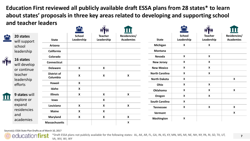**Education First reviewed all publicly available draft ESSA plans from 28 states\* to learn about states' proposals in three key areas related to developing and supporting school and teacher leaders**

|              |                           |                      | $\mathcal{L}$               | <b>HYH</b>                   | $\bf\Pi$                         |                       | <b>CHA</b>                  | <b>HYH</b>                   |                                                                                                     |
|--------------|---------------------------|----------------------|-----------------------------|------------------------------|----------------------------------|-----------------------|-----------------------------|------------------------------|-----------------------------------------------------------------------------------------------------|
| $\mathbf{r}$ | 20 states<br>will support | <b>State</b>         | <b>School</b><br>Leadership | <b>Teacher</b><br>Leadership | Residencies/<br><b>Academies</b> | <b>State</b>          | <b>School</b><br>Leadership | <b>Teacher</b><br>Leadership | Residencies/<br><b>Academies</b>                                                                    |
|              | school                    | Arizona              |                             |                              |                                  | Michigan              | $\boldsymbol{\mathsf{X}}$   | $\boldsymbol{\mathsf{x}}$    |                                                                                                     |
|              | leadership                | California           |                             |                              |                                  | <b>Montana</b>        |                             |                              |                                                                                                     |
|              |                           | Colorado             |                             |                              |                                  | Nevada                | X                           | $\mathbf{x}$                 |                                                                                                     |
| iyn          | 16 states<br>will develop | <b>Connecticut</b>   |                             |                              |                                  | <b>New Jersey</b>     | X                           | X                            | $\mathsf{X}$<br>$\boldsymbol{\mathsf{X}}$<br>$\boldsymbol{\mathsf{X}}$<br>$\boldsymbol{\mathsf{X}}$ |
|              | or continue               | <b>Delaware</b>      | X                           | $\boldsymbol{\mathsf{X}}$    |                                  | <b>New Mexico</b>     | $\boldsymbol{\mathsf{X}}$   | $\boldsymbol{\mathsf{x}}$    |                                                                                                     |
|              | teacher                   | <b>District of</b>   | X                           | $\boldsymbol{\mathsf{x}}$    | $\boldsymbol{\mathsf{X}}$        | <b>North Carolina</b> | $\boldsymbol{\mathsf{X}}$   | $\boldsymbol{\mathsf{X}}$    |                                                                                                     |
|              | leadership                | Columbia             |                             |                              |                                  | <b>North Dakota</b>   | X                           |                              |                                                                                                     |
|              | efforts                   | Hawaii               | $\boldsymbol{X}$            |                              |                                  | Ohio                  | $\boldsymbol{\mathsf{X}}$   | $\mathsf{X}$                 |                                                                                                     |
|              |                           | Idaho                | X                           |                              |                                  | Oklahoma              | $\boldsymbol{X}$            | $\boldsymbol{\mathsf{X}}$    |                                                                                                     |
| $\bf{u}$     | 9 states will             | <b>Illinois</b>      | X                           | $\boldsymbol{X}$             | $\boldsymbol{\mathsf{X}}$        | Oregon                | $\boldsymbol{X}$            | X                            |                                                                                                     |
|              | explore or                | lowa                 |                             | X                            |                                  | <b>South Carolina</b> | X                           |                              |                                                                                                     |
|              | expand                    | Louisiana            | $\boldsymbol{X}$            | X                            | X                                | <b>Tennessee</b>      | $\pmb{\mathsf{X}}$          | $\boldsymbol{\mathsf{X}}$    |                                                                                                     |
|              | residencies               | <b>Maine</b>         | X                           | $\boldsymbol{X}$             |                                  | Vermont               |                             |                              |                                                                                                     |
|              | and                       | Maryland             | $\boldsymbol{\mathsf{X}}$   | $\boldsymbol{\mathsf{X}}$    | X                                | Washington            | $\pmb{\chi}$                |                              |                                                                                                     |
|              | academies                 | <b>Massachusetts</b> |                             |                              | $\pmb{\mathsf{X}}$               |                       |                             |                              |                                                                                                     |

Source(s): ESSA State Plan Drafts as of March 10, 2017



plans not publicly available for the following states: AL, AK, AR, FL, GA, IN, KS, KY, MN, MS, MI, NE, NH, NY, PA, RI, SD, TX, UT, VA, WV, WI, WY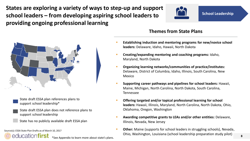**States are exploring a variety of ways to step-up and support school leaders – from developing aspiring school leaders to providing ongoing professional learning**





- State draft ESSA plan references plans to support school leadership\*
- State draft ESSA plan does not reference plans to support school leadership
- State has no publicly available draft ESSA plan

Source(s): ESSA State Plan Drafts as of March 10, 2017

educationfirst \*See Appendix to learn more about state's plans.

#### **Themes from State Plans**

- **Establishing induction and mentoring programs for new/novice school leaders:** Delaware, Idaho, Hawaii, North Dakota
- **Creating/expanding mentoring and coaching programs:** Idaho, Maryland, North Dakota
- **Organizing learning networks/communities of practice/institutes:**  Delaware, District of Columbia, Idaho, Illinois, South Carolina, New Mexico
- **Supporting career pathways and pipelines for school leaders:** Hawaii, Maine, Michigan, North Carolina, North Dakota, South Carolina, Tennessee
- **Offering targeted and/or topical professional learning for school leaders:** Hawaii, Illinois, Maryland, North Carolina, North Dakota, Ohio, Oklahoma, Oregon, Washington
- **Awarding competitive grants to LEAs and/or other entities:** Delaware, Illinois, Nevada, New Jersey
- **Other:** Maine (supports for school leaders in struggling schools), Nevada, Ohio, Washington, Louisiana (school leadership preparation study pilot)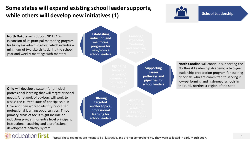### <span id="page-8-0"></span>**Some states will expand existing school leader supports, while others will develop new initiatives (1)**



**School Leadership**

**North Dakota** will support ND LEAD's expansion of its principal mentoring program for first-year administrators, which includes a minimum of two site visits during the school year and weekly meetings with mentors

**Ohio** will develop a system for principal professional learning that will target principal needs. A network of advisors will work to assess the current state of principalship in Ohio and then work to identify prioritized professional learning opportunities. Three primary areas of focus might include an induction program for entry level principals, instructional coaching and a professional development delivery system

**Establishing induction and mentoring programs for new/novice school leaders**

**Offering targeted and/or topical professional learning for school leaders**

**Supporting career pathways and pipelines for school leaders** **North Carolina** will continue supporting the Northeast Leadership Academy, a two-year leadership preparation program for aspiring principals who are committed to serving in low-performing and high-need schools in the rural, northeast region of the state

#### educationfirst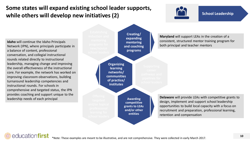### **Some states will expand existing school leader supports, while others will develop new initiatives (2)**



#### **School Leadership**

**Idaho** will continue the Idaho Principals Network (IPN), where principals participate in a balance of content, professional conversation, and collegial instructional rounds related directly to instructional leadership, managing change and improving the overall effectiveness of the instructional core. For example, the network has worked on improving classroom observations, building turnaround leadership competencies and instructional rounds. For schools in comprehensive and targeted status, the IPN provides coaching and support unique to the leadership needs of each principal



**Maryland** will support LEAs in the creation of a consistent, structured mentor training program for both principal and teacher mentors

**Delaware** will provide LEAs with competitive grants to design, implement and support school leadership opportunities to build local capacity with a focus on recruitment and preparation, professional learning, retention and compensation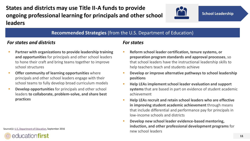**States and districts may use Title II-A funds to provide ongoing professional learning for principals and other school leaders**



#### **Recommended Strategies** (from the U.S. Department of Education)

#### *For states and districts*

- **Partner with organizations to provide leadership training and opportunities** for principals and other school leaders to hone their craft and bring teams together to improve school structures
- **Offer community of learning opportunities** where principals and other school leaders engage with their school teams to fully develop broad curriculum models
- **Develop opportunities** for principals and other school leaders **to collaborate, problem-solve, and share best practices**

Source(s): [U.S, Department of Education,](https://www2.ed.gov/policy/elsec/leg/essa/essatitleiipartaguidance.pdf) September 2016



#### *For states*

- **Reform school leader certification, tenure systems, or preparation program standards and approval processes**, so that school leaders have the instructional leadership skills to help teachers teach and students achieve
- **Develop or improve alternative pathways to school leadership positions**
- **Help LEAs implement school leader evaluation and support systems** that are based in part on evidence of student academic achievement
- **Help LEAs recruit and retain school leaders who are effective in improving student academic achievement** through means that include differential and performance pay for principals in low-income schools and districts
- **Develop new school leader evidence-based mentoring, induction, and other professional development programs** for new school leaders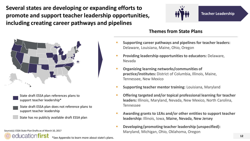**Several states are developing or expanding efforts to promote and support teacher leadership opportunities, including creating career pathways and pipelines**



**Teacher Leadership**

#### **Themes from State Plans**

- **Supporting career pathways and pipelines for teacher leaders:**  Delaware, Louisiana, Maine, Ohio, Oregon
- **Providing leadership opportunities to educators:** Delaware, Nevada
- **Organizing learning networks/communities of practice/institutes:** District of Columbia, Illinois, Maine, Tennessee, New Mexico
- **Supporting teacher mentor training:** Louisiana, Maryland
- **Offering targeted and/or topical professional learning for teacher leaders:** Illinois, Maryland, Nevada, New Mexico, North Carolina, Tennessee
- **Awarding grants to LEAs and/or other entities to support teacher leadership:** Illinois, Iowa, Maine, Nevada, New Jersey
- **Developing/promoting teacher leadership (unspecified):**  Maryland, Michigan, Ohio, Oklahoma, Oregon



- State draft ESSA plan references plans to support teacher leadership\*
- State draft ESSA plan does not reference plans to support teacher leadership
- State has no publicly available draft ESSA plan

Source(s): ESSA State Plan Drafts as of March 10, 2017

educationfirst

\*See Appendix to learn more about state's plans.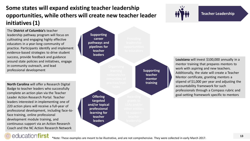## **Some states will expand existing teacher leadership opportunities, while others will create new teacher leader initiatives (1)**

The **District of Columbia's** teacher leadership pathway program will focus on cultivating and engaging highly effective educators in a year-long community of practice. Participants identify and implement evidence-based strategies to drive student success, provide feedback and guidance around state policies and initiatives, engage in community outreach, and lead professional development

**North Carolina** will offer a Research Digital Badge to teacher leaders who successfully complete an action plan via the Teacher Leader Action Research Portal. Teacher leaders interested in implementing one of 220 action plans will receive a full-year of professional development, including face-toface training, online professional development module training, and continuous support via an Action Research Coach and the NC Action Research Network





**Teacher Leadership**

**Louisiana** will invest \$100,000 annually in a mentor training that prepares mentors to work with aspiring and new teachers. Additionally, the state will create a Teacher Mentor certificate, granting mentors a stipend of \$1,000 per year and adjusting the accountability framework for such professionals through a Compass rubric and goal-setting framework specific to mentors

### educationfirst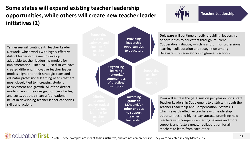## **Some states will expand existing teacher leadership opportunities, while others will create new teacher leader initiatives (2)**

**Tennessee** will continue its Teacher Leader Network, which works with highly effective district leadership teams to develop adaptable teacher leadership models for implementation. Since 2013, 28 districts have created different, innovative teacher leader models aligned to their strategic plans and educator professional learning needs that are most closely tied to increasing student achievement and growth. All of the district models vary in their design, number of roles, and costs, but they share a foundational belief in developing teacher leader capacities, skills and actions

education**first** 



**Teacher Leadership**

**Delaware** will continue directly providing leadership opportunities to educators through its Talent Cooperative initiative, which is a forum for professional learning, collaboration and recognition among Delaware's top educators in high-needs schools

**Iowa** will sustain the \$150 million per year existing state Teacher Leadership Supplement to districts through the Teacher Leadership and Compensation System (TLC), which rewards effective teachers with leadership opportunities and higher pay, attracts promising new teachers with competitive starting salaries and more support, and fosters greater collaboration for all teachers to learn from each other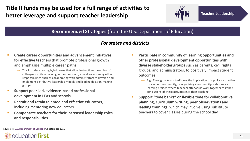**Title II funds may be used for a full range of activities to better leverage and support teacher leadership**



**Teacher Leadership**

#### **Recommended Strategies** (from the U.S. Department of Education)

#### *For states and districts*

- **Create career opportunities and advancement initiatives for effective teachers** that promote professional growth and emphasize multiple career paths
	- $\rightarrow$  This includes creating hybrid roles that allow instructional coaching of colleagues while remaining in the classroom, as well as assuming other responsibilities such as collaborating with administrators to develop and implement distributive leadership models and leading decision-making groups
- **Support peer-led, evidence-based professional development** in LEAs and schools
- **Recruit and retain talented and effective educators,** including mentoring new educators
- **Compensate teachers for their increased leadership roles and responsibilities**
- **Participate in community of learning opportunities and other professional development opportunities with diverse stakeholder groups** such as parents, civil rights groups, and administrators, to positively impact student outcomes
	- $\rightarrow$  E.g., Through a forum to discuss the implication of a policy or practice on a school community, or organizing a community-wide service learning project, where teachers afterwards work together to imbed conclusions of these activities into their teaching
- **Support "time banks" or flexible time for collaborative planning, curriculum writing, peer observations and leading trainings**; which may involve using substitute teachers to cover classes during the school day

Source(s): [U.S, Department of Education,](https://www2.ed.gov/policy/elsec/leg/essa/essatitleiipartaguidance.pdf) September 2016

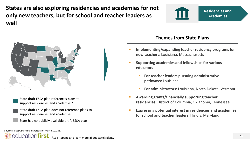**States are also exploring residencies and academies for not only new teachers, but for school and teacher leaders as well**





- State draft ESSA plan references plans to support residencies and academies\*
- State draft ESSA plan does not reference plans to support residencies and academies
- State has no publicly available draft ESSA plan

#### **Themes from State Plans**

- **Implementing/expanding teacher residency programs for new teachers:** Louisiana, Massachusetts
- **Supporting academies and fellowships for various educators**
	- **For teacher leaders pursuing administrative pathways:** Louisiana
	- **For administrators:** Louisiana, North Dakota, Vermont
- **Awarding grants/financially supporting teacher residencies:** District of Columbia, Oklahoma, Tennessee
- **Expressing potential interest in residencies and academies for school and teacher leaders:** Illinois, Maryland

Source(s): ESSA State Plan Drafts as of March 10, 2017



\*See Appendix to learn more about state's plans.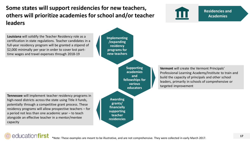### **Some states will support residencies for new teachers, others will prioritize academies for school and/or teacher leaders**

**Louisiana** will solidify the Teacher Residency role as a certification in state regulations. Teacher candidates in a full-year residency program will be granted a stipend of \$2,000 minimally per year in order to cover lost parttime wages and travel expenses through 2018-19

**Implementing /expanding residency programs for new teachers**

> **Supporting academies and fellowships for various educators**

**Tennessee** will implement teacher residency programs in high-need districts across the state using Title II funds, potentially through a competitive grant process. These residency programs will allow prospective teachers – for a period not less than one academic year – to teach alongside an effective teacher in a mentor/mentee capacity

**Awarding grants/ financially supporting teacher residencies** **Vermont** will create the Vermont Principals' Professional Learning Academy/Institute to train and build the capacity of principals and other school leaders, primarily in schools of comprehensive or targeted improvement



**Residencies and Academies**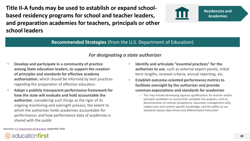**Title II-A funds may be used to establish or expand schoolbased residency programs for school and teacher leaders, and preparation academies for teachers, principals or other school leaders**



#### **Recommended Strategies** (from the U.S. Department of Education)

#### *For designating a state authorizer*

- **Develop and participate in a community of practice among State education leaders, to support the creation of principles and standards for effective academy authorization**, which should be informed by best practices regarding the preparation of effective educators
- **Adopt a publicly transparent performance framework for how the state will evaluate and hold accountable the authorizer**, considering such things as the rigor of its ongoing monitoring and oversight process; the extent to which the authorizer holds academies accountable for performance; and how performance data of academies is shared with the public
- **Identify and articulate "essential practices" for the authorizer to use**, such as external expert panels, initial term lengths, renewal criteria, annual reporting, etc.
- **Establish outcome-oriented performance metrics to facilitate oversight by the authorizer and provide common expectations and standards for academies**
	- $\rightarrow$  This may include developing rigorous qualifications for teacher and/or principal candidates to successfully complete the program, such as demonstration of cultural competency, classroom management skills, subject area and content specific knowledge, and the ability to use standards-based, data-driven and differentiated instruction

Source(s): [U.S, Department of Education,](https://www2.ed.gov/policy/elsec/leg/essa/essatitleiipartaguidance.pdf) September 2016

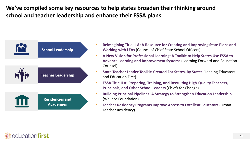**We've compiled some key resources to help states broaden their thinking around school and teacher leadership and enhance their ESSA plans**



- **[Reimagining Title II-A: A Resource for Creating and Improving State Plans and](https://learningforward.org/docs/default-source/getinvolved/essa/essanewvisiontoolkit) Working with LEAs** (Council of Chief State School Officers)
- **[A New Vision for Professional Learning: A Toolkit to Help States Use ESSA to](https://learningforward.org/docs/default-source/getinvolved/essa/essanewvisiontoolkit)  Advance Learning and Improvement Systems**(Learning Forward and Education Counsel)
- **[State Teacher Leader Toolkit: Created For States, By States](http://www.leadingeducators.org/state-teacher-leadership-toolkit)** (Leading Educators and Education First)
- **[ESSA Title II A: Preparing, Training, and Recruiting High-Quality Teachers,](http://chiefsforchange.org/wp-content/uploads/2016/09/CFC-Title-II-Policy-Brief.pdf)  Principals, and Other School Leaders** (Chiefs for Change)
- **[Building Principal Pipelines: A Strategy to Strengthen Education Leadership](http://www.wallacefoundation.org/knowledge-center/Pages/Building-Principal-Pipelines-A-Strategy-to-Strengthen-Education-Leadership.aspx)** (Wallace Foundation)
- **[Teacher Residency Programs Improve Access to Excellent Educators](https://easn.grads360.org/api/ApplicationMedia/GetDownload/30086)** (Urban Teacher Residency)

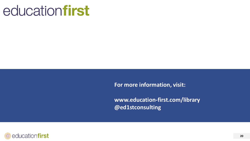# educationfirst

**For more information, visit:**

**www.education-first.com/library @ed1stconsulting** 

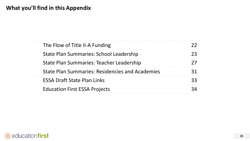| The Flow of Title II-A Funding                  |  |
|-------------------------------------------------|--|
| State Plan Summaries: School Leadership         |  |
| State Plan Summaries: Teacher Leadership        |  |
| State Plan Summaries: Residencies and Academies |  |
| <b>ESSA Draft State Plan Links</b>              |  |
| <b>Education First ESSA Projects</b>            |  |

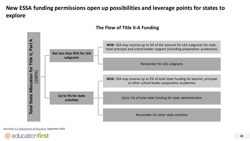### **New ESSA funding permissions open up possibilities and leverage points for states to explore**



#### **The Flow of Title II-A Funding**

Source(s): [U.S, Department of Education,](https://www2.ed.gov/policy/elsec/leg/essa/essatitleiipartaguidance.pdf) September 2016

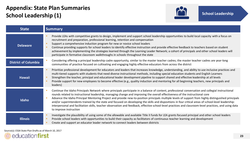### **Appendix: State Plan Summaries School Leadership (1)**



| <b>State</b>                | <b>Summary</b>                                                                                                                                                                                                                                                                                                                                                                                                                                                                                                                                                                                                                                                                                                                                                                          |
|-----------------------------|-----------------------------------------------------------------------------------------------------------------------------------------------------------------------------------------------------------------------------------------------------------------------------------------------------------------------------------------------------------------------------------------------------------------------------------------------------------------------------------------------------------------------------------------------------------------------------------------------------------------------------------------------------------------------------------------------------------------------------------------------------------------------------------------|
| <b>Delaware</b>             | Provide LEAs with competitive grants to design, implement and support school leadership opportunities to build local capacity with a focus on<br>recruitment and preparation, professional learning, retention and compensation<br>Support a comprehensive induction program for new or novice school leaders<br>Continue providing supports for school leaders to identify effective instruction and provide effective feedback to teachers based on student<br>achievement by implementing the strategies learned through the Learning Leader Network; a cohort of principals and other school leaders will<br>participate in formative classroom walkthroughs in schools throughout the state                                                                                        |
| <b>District of Columbia</b> | Considering offering a principal leadership cadre opportunity, similar to the master teacher cadres; the master teacher cadres are year-long<br>communities of practice focused on cultivating and engaging highly effective educators from across the district                                                                                                                                                                                                                                                                                                                                                                                                                                                                                                                         |
| <b>Hawaii</b>               | Prioritize professional development for educators and leaders that increases knowledge, understanding, and ability to use inclusive practices and<br>multi-tiered supports with students that need diverse instructional methods, including special education students and English Learners<br>Strengthen the teacher, principal and educational leader development pipeline to support shared and effective leadership at all levels<br>Provide support for new employees to become effective (e.g., quality induction and mentoring for all beginning teachers, new principals and<br>leaders)                                                                                                                                                                                        |
| Idaho                       | Continue the Idaho Principals Network where principals participate in a balance of content, professional conversation and collegial instructional<br>rounds related to instructional leadership, managing change and improving the overall effectiveness of the instructional core<br>Advance the Idaho Principal Mentoring Project and provide new-to-position principals multiple levels of support from highly distinguished principals<br>and/or superintendents trained by the state and focused on developing the skills and dispositions in four critical areas of school-level leadership:<br>interpersonal and facilitation skills, teacher observation and feedback, effective school-level practices and classroom-level practices, and using data<br>to improve instruction |
| <b>Illinois</b>             | Investigate the plausibility of using some of the allowable and available Title II funds for LEA grants focused principal and other school leaders<br>Provide school leaders with opportunities to build their capacity as facilitators of continuous teacher learning and development<br>Create and support an educator leader network to connect leaders between districts                                                                                                                                                                                                                                                                                                                                                                                                            |

Source(s): ESSA State Plan Drafts as of March 10, 2017

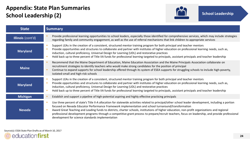### **Appendix: State Plan Summaries School Leadership (2)**



| <b>State</b>      | <b>Summary</b>                                                                                                                                                                                                                                                                                                                                                                                                                                                                                                                                                                                                         |  |  |  |
|-------------------|------------------------------------------------------------------------------------------------------------------------------------------------------------------------------------------------------------------------------------------------------------------------------------------------------------------------------------------------------------------------------------------------------------------------------------------------------------------------------------------------------------------------------------------------------------------------------------------------------------------------|--|--|--|
| Illinois (cont'd) | Provide professional learning opportunities to school leaders, especially those identified for comprehensive services, which may include strategies<br>regarding family and community engagement, as well as the use of referral mechanisms that link children to appropriate services                                                                                                                                                                                                                                                                                                                                 |  |  |  |
| <b>Maryland</b>   | Support LEAs in the creation of a consistent, structured mentor training program for both principal and teacher mentors<br>Provide opportunities and structures to collaborate and partner with institutes of higher education on professional learning needs, such as,<br>induction, cultural proficiency, Universal Design for Learning (UDL) and restorative practices<br>Hold back up to three percent of Title IIA funds for professional learning targeted to principals, assistant principals and teacher leadership                                                                                            |  |  |  |
| <b>Maine</b>      | Recommend that the Maine Department of Education, Maine Education Association and the Maine Principals Association collaborate on<br>recruitment strategies to identify teachers who would make strong candidates for the position of principal<br>Continue to expand supports for school leadership offered through its system of ESEA supports for struggling schools to include high-poverty,<br>isolated-small and high-risk schools                                                                                                                                                                               |  |  |  |
| <b>Maryland</b>   | Support LEAs in the creation of a consistent, structured mentor training program for both principal and teacher mentors<br>Provide opportunities and structures to collaborate and partner with institutes of higher education on professional learning needs, such as,<br>induction, cultural proficiency, Universal Design for Learning (UDL) and restorative practices<br>Hold back up to three percent of Title IIA funds for professional learning targeted to principals, assistant principals and teacher leadership                                                                                            |  |  |  |
| <b>Michigan</b>   | Establish and support a pipeline of high-potential aspiring and highly effective practicing principals                                                                                                                                                                                                                                                                                                                                                                                                                                                                                                                 |  |  |  |
| <b>Nevada</b>     | Use three percent of state's Title II-A allocation for statewide activities related to principal/other school leader development, including a portion<br>focused on Nevada Educator Performance Framework implementation and school turnaround/transformation<br>Award Great Teaching and Leading funds to districts, charter schools, institutions of higher education, non-profit organizations and regional<br>professional development programs through a competitive grant process to prepare/recruit teachers, focus on leadership, and provide professional<br>development for science standards implementation |  |  |  |

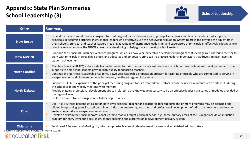### **Appendix: State Plan Summaries School Leadership (3)**

educationfirst



| <b>State</b>                                                              | <b>Summary</b>                                                                                                                                                                                                                                                                                                                                                                                                                                                                                                                                                                                                          |
|---------------------------------------------------------------------------|-------------------------------------------------------------------------------------------------------------------------------------------------------------------------------------------------------------------------------------------------------------------------------------------------------------------------------------------------------------------------------------------------------------------------------------------------------------------------------------------------------------------------------------------------------------------------------------------------------------------------|
| <b>New Jersey</b>                                                         | Expand the achievement coaches program to create a grant focused on principals, principal supervisors and teacher leaders that supports:<br>principals in becoming stronger instructional leaders who effectively use the AchieveNJ evaluation system to grow and develop the educators in<br>their schools; principal and teacher leaders in taking advantage of distributive leadership; and supervisors of principals in effectively piloting a new<br>principal evaluation tool the NJDOE currently is developing to help grow and develop school leaders                                                           |
| <b>New Mexico</b>                                                         | Continue the Principals Pursuing Excellence program, which is a two-year leadership development program that leverages a turnaround mentor to<br>п<br>work with principals in struggling schools and educates and empowers principals to practice leadership behaviors that drive significant gains in<br>student achievement                                                                                                                                                                                                                                                                                           |
| <b>North Carolina</b>                                                     | Maintain Principal READY, a statewide leadership series for principals and assistant principals, which features professional development and other<br>supports to help school leaders provide high-quality feedback to teachers<br>Continue the Northeast Leadership Academy, a two-year leadership preparation program for aspiring principals who are committed to serving in<br>٠<br>low-performing and high-need schools in the rural, northeast region of the state                                                                                                                                                |
| <b>North Dakota</b>                                                       | Support ND LEAD's expansion of the principal mentoring program for first-year administrators, which includes a minimum of two site visits during<br>п<br>the school year and weekly meetings with mentors<br>Provide ongoing professional development directly related to the knowledge necessary to be an effective leader via a series of modules provided at<br>п<br>the regional level<br>Explore avenues to encourage career ladder opportunities<br>ш                                                                                                                                                             |
| Ohio                                                                      | Use Title II-A three percent set aside for state-level principal, teacher and teacher leader support; one or more programs may be designed and<br>piloted in upcoming years focused on training, induction, mentoring, coaching and professional development of principals, teachers and teacher<br>leaders (especially in low-performing schools)<br>Develop a system for principal professional learning that will target principal needs, e.g., three primary areas of focus might include an induction<br>program for entry level principals, instructional coaching and a professional development delivery system |
| <b>Oklahoma</b><br>Source(s): ESSA State Plan Drafts as of March 10, 2017 | Fund Lead 2 Succeed and Moving Up, which emphasize leadership development for new and established administrators<br>L.                                                                                                                                                                                                                                                                                                                                                                                                                                                                                                  |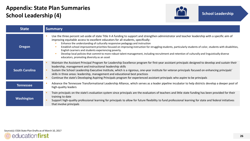### **Appendix: State Plan Summaries School Leadership (4)**



| <b>State</b>          | <b>Summary</b>                                                                                                                                                                                                                                                                                                                                                                                                                                                                                                                                                                                                                                                                                                                                   |
|-----------------------|--------------------------------------------------------------------------------------------------------------------------------------------------------------------------------------------------------------------------------------------------------------------------------------------------------------------------------------------------------------------------------------------------------------------------------------------------------------------------------------------------------------------------------------------------------------------------------------------------------------------------------------------------------------------------------------------------------------------------------------------------|
| <b>Oregon</b>         | Use the three percent set-aside of state Title II-A funding to support and strengthen administrator and teacher leadership with a specific aim of<br>improving equitable access to excellent educators for all students, specifically:<br>Enhance the understanding of culturally responsive pedagogy and instruction<br>Establish school improvement priorities focused on improving instruction for struggling students, particularly students of color, students with disabilities,<br>English Learners and students experiencing poverty.<br>Develop local policies that commit to more robust talent management, including recruitment and retention of culturally and linguistically diverse<br>educators, promoting diversity as an asset |
| <b>South Carolina</b> | Maintain the Assistant Principal Program for Leadership Excellence program for first-year assistant principals designed to develop and sustain their<br>leadership, management and instructional leadership skills<br>Sustain the School Leadership Executive Institute, which is a rigorous, one-year institute for veteran principals focused on enhancing principals'<br>skills in three areas: leadership, management and educational best practices<br>Continue the state's Developing Aspiring Principals program for experienced assistant principals who aspire to be principals                                                                                                                                                         |
| <b>Tennessee</b>      | Advance the Tennessee Transformational Leadership Alliance, which serves as a leader pipeline incubator to help districts develop a deeper pool of<br>high-quality leaders                                                                                                                                                                                                                                                                                                                                                                                                                                                                                                                                                                       |
| <b>Washington</b>     | Train principals on the state's evaluation system since principals are the evaluators of teachers and little state funding has been provided for their<br>training to date<br>Support high-quality professional learning for principals to allow for future flexibility to fund professional learning for state and federal initiatives<br>that involve principals                                                                                                                                                                                                                                                                                                                                                                               |

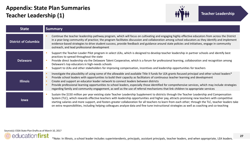### **Appendix: State Plan Summaries Teacher Leadership (1)**



| <b>State</b>                | <b>Summary</b>                                                                                                                                                                                                                                                                                                                                                                                                                                                                                                                                                                                                                                                          |  |  |
|-----------------------------|-------------------------------------------------------------------------------------------------------------------------------------------------------------------------------------------------------------------------------------------------------------------------------------------------------------------------------------------------------------------------------------------------------------------------------------------------------------------------------------------------------------------------------------------------------------------------------------------------------------------------------------------------------------------------|--|--|
| <b>District of Columbia</b> | Continue the teacher leadership pathway program, which will focus on cultivating and engaging highly effective educators from across the District<br>in a year-long community of practice; the program facilitates discussion and collaboration among school educators as they identify and implement<br>evidence-based strategies to drive student success, provide feedback and guidance around state policies and initiatives, engage in community<br>outreach, and lead professional development                                                                                                                                                                    |  |  |
| <b>Delaware</b>             | Support the Teacher-Leader Pilot program in select LEAs, which is designed to develop teacher leadership in partner schools and identify best<br>practices to spread throughout the state<br>Provide direct leadership via the Delaware Talent Cooperative, which is a forum for professional learning, collaboration and recognition among<br>Delaware's top educators in high-needs schools<br>Support to LEAs and other stakeholders for improving compensation, incentives and leadership opportunities for teachers                                                                                                                                                |  |  |
| <b>Illinois</b>             | Investigate the plausibility of using some of the allowable and available Title II funds for LEA grants focused principal and other school leaders*<br>Provide school leaders with opportunities to build their capacity as facilitators of continuous teacher learning and development<br>Create and support an educator leader network to connect leaders between districts<br>Provide professional learning opportunities to school leaders, especially those identified for comprehensive services, which may include strategies<br>regarding family and community engagement, as well as the use of referral mechanisms that link children to appropriate services |  |  |
| <b>lowa</b>                 | Sustain the \$150 million per year existing state Teacher Leadership Supplement to districts through the Teacher Leadership and Compensation<br>System (TLC), which rewards effective teachers with leadership opportunities and higher pay, attracts promising new teachers with competitive<br>starting salaries and more support, and fosters greater collaboration for all teachers to learn from each other; through the TLC, teacher leaders take<br>on extra responsibilities, including helping colleagues analyze data and fine tune instructional strategies as well as coaching and co-teaching                                                              |  |  |

Source(s): ESSA State Plan Drafts as of March 10, 2017

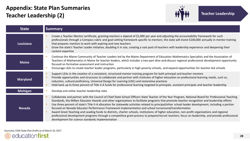### **Appendix: State Plan Summaries Teacher Leadership (2)**



| <b>State</b>    | <b>Summary</b>                                                                                                                                                                                                                                                                                                                                                                                                                                                                                                                                                                                                                                                                                                                                                                                                                                                                                                                |
|-----------------|-------------------------------------------------------------------------------------------------------------------------------------------------------------------------------------------------------------------------------------------------------------------------------------------------------------------------------------------------------------------------------------------------------------------------------------------------------------------------------------------------------------------------------------------------------------------------------------------------------------------------------------------------------------------------------------------------------------------------------------------------------------------------------------------------------------------------------------------------------------------------------------------------------------------------------|
| Louisiana       | Create a Teacher Mentor certificate, granting mentors a stipend of \$1,000 per year and adjusting the accountability framework for such<br>professionals through a Compass rubric and goal-setting framework specific to mentors; the state will invest \$100,000 annually in mentor training<br>that prepares mentors to work with aspiring and new teachers<br>Grow the state's Teacher Leader initiative, doubling it in size, creating a vast pool of teachers with leadership experience and deepening their<br>content expertise                                                                                                                                                                                                                                                                                                                                                                                        |
| <b>Maine</b>    | Continue the Maine Community of Teacher Leaders led by the Maine Department of Education Mathematics Specialists and the Association of<br>Teachers of Mathematics in Maine for teacher leaders, which includes a two-part dine-and-discuss regional professional development opportunity<br>focused on formative assessment and instruction<br>Encourage LEAs to create teacher leader programs, particularly in high-poverty schools, and expand opportunities for teacher-led schools                                                                                                                                                                                                                                                                                                                                                                                                                                      |
| <b>Maryland</b> | Support LEAs in the creation of a consistent, structured mentor training program for both principal and teacher mentors<br>Provide opportunities and structures to collaborate and partner with institutes of higher education on professional learning needs, such as,<br>induction, cultural proficiency, Universal Design for Learning (UDL) and restorative practices<br>Hold back up to three percent of Title II-A funds for professional learning targeted to principals, assistant principals and teacher leadership                                                                                                                                                                                                                                                                                                                                                                                                  |
| <b>Michigan</b> | Develop and utilize teacher-leadership roles                                                                                                                                                                                                                                                                                                                                                                                                                                                                                                                                                                                                                                                                                                                                                                                                                                                                                  |
| <b>Nevada</b>   | Collaborate and partner with the Council of Chief State School Officers State Teacher of the Year Program, National Board for Professional Teaching<br>Standards, the Milken Educator Awards and other organizations to facilitate programs that promote teacher recognition and leadership efforts<br>Use three percent of state's Title II-A allocation for statewide activities related to principal/other school leader development, including a portion<br>focused on Nevada Educator Performance Framework implementation and school turnaround/transformation<br>Award Great Teaching and Leading funds to districts, charter schools, institutions of higher education, non-profit organizations and regional<br>professional development programs through a competitive grant process to prepare/recruit teachers, focus on leadership, and provide professional<br>development for science standards implementation |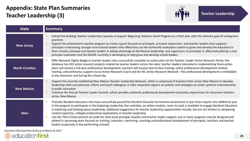### **Appendix: State Plan Summaries Teacher Leadership (3)**



| <b>State</b>          | <b>Summary</b>                                                                                                                                                                                                                                                                                                                                                                                                                                                                                                                                                                                                                                                                                                                                                                                                                                                                                      |  |  |
|-----------------------|-----------------------------------------------------------------------------------------------------------------------------------------------------------------------------------------------------------------------------------------------------------------------------------------------------------------------------------------------------------------------------------------------------------------------------------------------------------------------------------------------------------------------------------------------------------------------------------------------------------------------------------------------------------------------------------------------------------------------------------------------------------------------------------------------------------------------------------------------------------------------------------------------------|--|--|
| <b>New Jersey</b>     | Extend the Building Teacher Leadership Capacity to Support Beginning Teachers Grant Program to a third year, with the ultimate goal of scaling best<br>practices<br>Expand the achievement coaches program to create a grant focused on principals, principal supervisors, and teacher leaders that supports:<br>principals in becoming stronger instructional leaders who effectively use the AchieveNJ evaluation system to grow and develop the educators in<br>their schools; principal and teacher leaders in taking advantage of distributive leadership; and supervisors of principals in effectively piloting a new<br>principal evaluation tool the NJDOE currently is developing to help grow and develop school leaders                                                                                                                                                                  |  |  |
| <b>North Carolina</b> | Offer Research Digital Badge to teacher leaders who successfully complete an action plan via the Teacher Leader Action Research Portal; this<br>database has 220 action research projects created by teacher leaders across the state; teacher leaders interested in implementing these action<br>plans will receive a full-year professional development; teachers will receive face-to-face training, online professional development module<br>training, and continuous support via an Action Research Coach and the NC Action Research Network - this professional development is embedded<br>in the classroom and during the school day                                                                                                                                                                                                                                                        |  |  |
| <b>New Mexico</b>     | Support the recently established New Mexico Teacher Leadership Network, which is comprised of teachers from across New Mexico to develop<br>leadership skills and advocate, inform and teach colleagues in their respective regions on policies and strategies to create systemic improvements<br>in public education<br>Continue the Annual Teacher Leader Summit, which provides authentic professional development and policy experiences for classroom teachers<br>across New Mexico                                                                                                                                                                                                                                                                                                                                                                                                            |  |  |
| Ohio                  | Promote Resident educators who have successfully passed the Resident Educator Summative Assessment in year three require one additional year<br>in the program to participate in the Exploring Leadership Year activities; an online module, Learn to Lead, is available to engage Resident Educators<br>in exploring and thinking about leadership; additional suggestions for teacher leadership opportunities include, but are not limited to, deepening<br>content expertise, collegial professional explorations or teacher leadership<br>Use the Title II three percent set aside for state-level principal, teacher and teacher leader support; one or more programs may be designed and<br>piloted in upcoming years focused on training, induction, mentoring, coaching and professional development of principals, teachers and teacher<br>leaders (especially in low-performing schools) |  |  |

Source(s): ESSA State Plan Drafts as of March 10, 2017

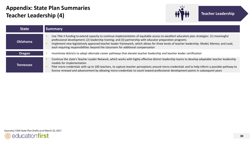### **Appendix: State Plan Summaries Teacher Leadership (4)**



| <b>State</b>    | <b>Summary</b>                                                                                                                                                                                                                                                                                                                                                                                                                                                                                 |  |  |  |
|-----------------|------------------------------------------------------------------------------------------------------------------------------------------------------------------------------------------------------------------------------------------------------------------------------------------------------------------------------------------------------------------------------------------------------------------------------------------------------------------------------------------------|--|--|--|
| <b>Oklahoma</b> | Use Title II funding to extend capacity to continue implementation of equitable access to excellent educators plan strategies: (1) meaningful<br>professional development; (2) leadership training; and (3) partnership with educator preparation programs<br>Implement new legislatively approved teacher leader framework, which allows for three levels of teacher leadership: Model, Mentor, and Lead,<br>each requiring responsibilities beyond the classroom for additional compensation |  |  |  |
| <b>Oregon</b>   | Incentivize districts to adopt alternate career pathways that elevate teacher leadership and teacher leader certification                                                                                                                                                                                                                                                                                                                                                                      |  |  |  |
| Tennessee       | Continue the state's Teacher Leader Network, which works with highly effective district leadership teams to develop adaptable teacher leadership<br>models for implementation<br>Pilot micro-credentials with up to 100 teachers, to capture teacher perceptions around micro-credentials and to help inform a possible pathway to<br>license renewal and advancement by allowing micro-credentials to count toward professional development points in subsequent years                        |  |  |  |

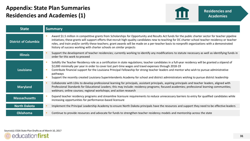### **Appendix: State Plan Summaries Residencies and Academies (1)**



| <b>State</b>                | <b>Summary</b>                                                                                                                                                                                                                                                                                                                                                                                                                                                                                                                                                           |  |  |  |  |
|-----------------------------|--------------------------------------------------------------------------------------------------------------------------------------------------------------------------------------------------------------------------------------------------------------------------------------------------------------------------------------------------------------------------------------------------------------------------------------------------------------------------------------------------------------------------------------------------------------------------|--|--|--|--|
| <b>District of Columbia</b> | Award \$1.5 million in competitive grants from Scholarships for Opportunity and Results Act funds for the public charter sector for teacher pipeline<br>initiatives; these grants will support efforts that recruit high-quality candidates new to teaching for DC charter school teacher residency or teacher<br>roles, and train and/or certify these teachers; grant awards will be made on a per-teacher basis to nonprofit organizations with a demonstrated<br>history of success working with charter schools on similar projects                                 |  |  |  |  |
| <b>Illinois</b>             | Support the development of teacher residencies; currently working to identify any modifications to statute necessary as well as identifying funds in<br>order for this work to proceed                                                                                                                                                                                                                                                                                                                                                                                   |  |  |  |  |
| Louisiana                   | Solidify the Teacher Residency role as a certification in state regulations; teacher candidates in a full-year residency will be granted a stipend of<br>\$2,000 minimally per year in order to cover lost part-time wages and travel expenses through 2018-19<br>Contribute financial support for the Louisiana Principal Fellowship for strong teacher leaders and mentor who wish to pursue administrative<br>pathways<br>Support the recently created Louisiana Superintendents Academy for school and district administrators wishing to pursue district leadership |  |  |  |  |
| <b>Maryland</b>             | Collaborate with LEAs to develop professional learning for principals, assistant principals, aspiring principals and teacher leaders, aligned with<br>Professional Standards for Educational Leaders; this may include: residency programs; focused academies; professional learning communities;<br>webinars; online courses; regional workshops; and action research                                                                                                                                                                                                   |  |  |  |  |
| <b>Massachusetts</b>        | Expand teacher residency programs and streamline licensure requirements to reduce unnecessary barriers to entry for qualified candidates while<br>increasing opportunities for performance-based licensure                                                                                                                                                                                                                                                                                                                                                               |  |  |  |  |
| <b>North Dakota</b>         | Implement the Principal Leadership Academy to ensure North Dakota principals have the resources and support they need to be effective leaders                                                                                                                                                                                                                                                                                                                                                                                                                            |  |  |  |  |
| <b>Oklahoma</b>             | Continue to provide resources and advocate for funds to strengthen teacher residency models and mentorship across the state                                                                                                                                                                                                                                                                                                                                                                                                                                              |  |  |  |  |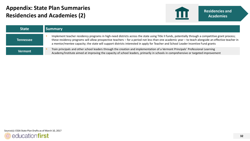### **Appendix: State Plan Summaries Residencies and Academies (2)**



| <b>State</b>     | <b>Summary</b>                                                                                                                                                                                                                                                                                                                                                                                                                                    |
|------------------|---------------------------------------------------------------------------------------------------------------------------------------------------------------------------------------------------------------------------------------------------------------------------------------------------------------------------------------------------------------------------------------------------------------------------------------------------|
| <b>Tennessee</b> | Implement teacher residency programs in high-need districts across the state using Title II funds, potentially through a competitive grant process;<br>these residency programs will allow prospective teachers - for a period not less than one academic year - to teach alongside an effective teacher in<br>a mentor/mentee capacity; the state will support districts interested in apply for Teacher and School Leader Incentive Fund grants |
| <b>Vermont</b>   | Train principals and other school leaders through the creation and implementation of a Vermont Principals' Professional Learning<br>Academy/Institute aimed at improving the capacity of school leaders, primarily in schools in comprehensive or targeted improvement                                                                                                                                                                            |

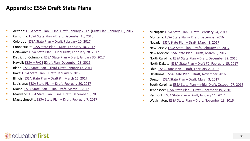#### **Appendix: ESSA Draft State Plans**

- Arizona: ESSA State Plan [Final Draft, January 2017,](http://www.azed.gov/essa/draftplan/) [\(Draft Plan, January 15, 2017](http://www.azed.gov/essa/draftplan/))
- California: ESSA State Plan [Draft, December 15, 2016](http://www.cde.ca.gov/re/es/toolkit2.asp)
- Colorado: ESSA State Plan [Draft, February 10, 2017](https://www.cde.state.co.us/fedprograms/essastateplanfulldraft)
- Connecticut: ESSA State Plan [Draft, February 10, 2017](http://www.sde.ct.gov/sde/lib/sde/pdf/essa/draft_ct_consolidated_state_essa_plan.pdf)
- Delaware: ESSA State Plan [Final Draft, February 28, 2017](http://www.doe.k12.de.us/cms/lib09/DE01922744/Centricity/domain/425/feb 28 release documents/FINAL Draft w intro letter  ESSA State Plan.pdf)
- District of Columbia: ESSA State Plan [Draft, January 30, 2017](https://osse.dc.gov/sites/default/files/dc/sites/osse/publication/attachments/Every Student Succeeds Act (ESSA) DC ESSA State Educations Plan Draft For Public Comment.pdf)
- Hawaii: [ESSA](http://www.hawaiipublicschools.org/VisionForSuccess/AdvancingEducation/StriveHIPerformanceSystem/Pages/ESSA.aspx)  FAQS [\(Draft Plan, December 28, 2016](http://www.hawaiipublicschools.org/VisionForSuccess/AdvancingEducation/StrategicPlan/Pages/home.aspx))
- Idaho: ESSA State Plan [Third Draft, January 13, 2017](http://www.sde.idaho.gov/topics/consolidated-plan/files/01-13-17-Idaho-Consolidated-State-Plan.pdf)
- Iowa: ESSA State Plan [Draft, January 6, 2017](https://www.educateiowa.gov/sites/files/ed/documents/Iowa_ESSA_Draft_Plan_January2017.pdf)
- Illinois: ESSA State Plan [Draft #4, March 15, 2017](https://www.isbe.net/Documents_Board_Meetings/ESSA_State_Plan.pdf)
- Louisiana: ESSA State Plan [Draft, February 20, 2017](https://www.louisianabelieves.com/docs/default-source/louisiana-believes/louisiana-draft-essa-state-plan.pdf?sfvrsn=2)
- Maine: ESSA State Plan [Final Draft, March 1, 2017](http://www.maine.gov/doe/essa/documents/17-0528ESSADRAFTConsolidatedStatePlan_FinalCleanv7.pdf)
- Maryland: ESSA State Plan [Final Draft, December 5, 2016](http://www.marylandpublicschools.org/about/Documents/DAPI/ESEA/MarylandConsolidatedStatePlanDRAFT1.pdf)
- Massachusetts: ESSA State Plan [Draft, February 7, 2017](http://www.mass.gov/edu/docs/ese/accountability/annual-reports/essa-state-plan-draft.docx)
- Michigan: ESSA State Plan [Draft, February 24, 2017](http://www.michigan.gov/documents/mde/Michigan_ESSA_Consolidated_Plan-Draft_for_Public_Comment_551642_7.pdf)
- Montana: ESSA State Plan [Draft, December 2016](http://opi.mt.gov/PDF/ESSA/essa-consolidated-state-plan-final.pdf)
- Nevada: ESSA State Plan [Draft, March 1, 2017](http://www.doe.nv.gov/uploadedFiles/ndedoenvgov/content/Boards_Commissions_Councils/ESSA_Adv_Group/2017/TuesdayNightDraftF (2).pdf)
- New Jersey: ESSA State Plan –[Draft, February 15, 2017](http://www.state.nj.us/education/ESSA/plan/plan.pdf)
- New Mexico: ESSA State Plan [Draft, March 8, 2017](http://www.ped.state.nm.us/ped/ESSA_docs/NewMexicoStatePlanDraft_ESSA.pdf)
- North Carolina: ESSA State Plan [Draft, December 22, 2016](http://www.dpi.state.nc.us/docs/succeeds/draft-state-plan.pdf)
- North Dakota: ESSA State Plan [Draft #2, February 15, 2017](https://www.nd.gov/dpi/uploads/1494/SecondDraft_ND_ESSA_State_Plan.pdf)
- Ohio: ESSA State Plan [Draft, February 2, 2017](http://education.ohio.gov/getattachment/Topics/Every-Student-Succeeds-Act-ESSA/essa-consolidated-state-plan.pdf.aspx)
- Oklahoma: ESSA State Plan [Draft, November 2016](http://sde.ok.gov/sde/sites/ok.gov.sde/files/ESSAStatePlanDraft1-update112116.pdf)
- Oregon: ESSA State Plan [Draft, March 3, 2017](http://www.oregon.gov/ode/rules-and-policies/ESSA/Documents/FINAL STATE PLAN 1.5 Technical doc (TR minor edits) (3-3-2017).pdf)
- South Carolina: ESSA State Plan [Initial Draft, October 27, 2016](http://ed.sc.gov/newsroom/every-student-succeeds-act-essa/draft-consolidated-state-plan/)
- Tennessee: ESSA State Plan [Draft, December 19, 2016](https://tn.gov/assets/entities/education/attachments/ESSA_Draft_Plan_Full.pdf)
- Vermont: ESSA State Plan [Draft, January 11, 2017](http://education.vermont.gov/calendar/vermont-state-plan)
- Washington: ESSA State Plan [Draft, November 13, 2016](http://www.k12.wa.us/ESEA/ESSA/pubdocs/WashingtonESSADraftConsolidatedPlan.pdf?_sm_au_=iVVQ7SRVvscTMvbs)